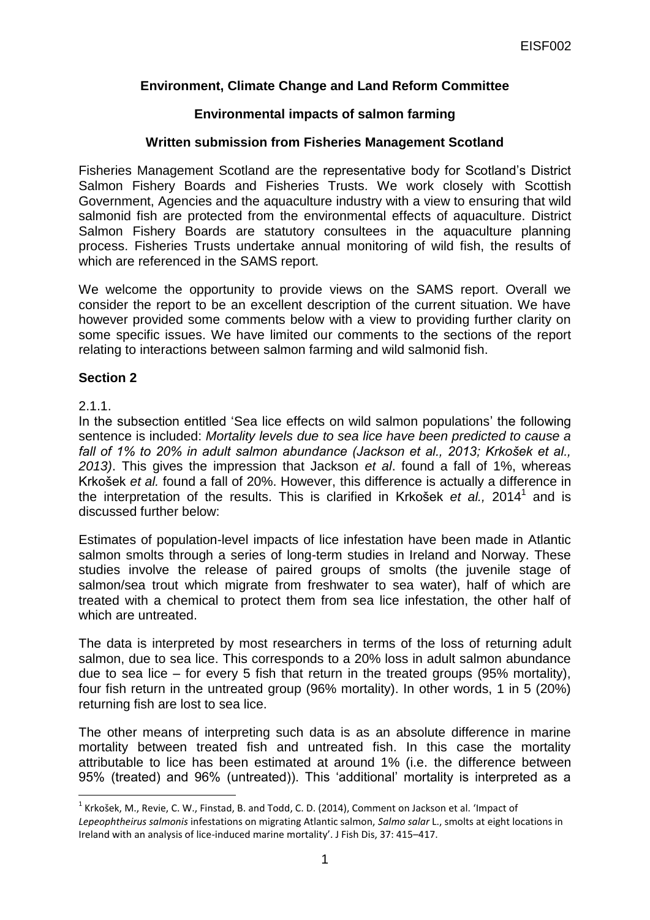# **Environment, Climate Change and Land Reform Committee**

## **Environmental impacts of salmon farming**

### **Written submission from Fisheries Management Scotland**

Fisheries Management Scotland are the representative body for Scotland"s District Salmon Fishery Boards and Fisheries Trusts. We work closely with Scottish Government, Agencies and the aquaculture industry with a view to ensuring that wild salmonid fish are protected from the environmental effects of aquaculture. District Salmon Fishery Boards are statutory consultees in the aquaculture planning process. Fisheries Trusts undertake annual monitoring of wild fish, the results of which are referenced in the SAMS report.

We welcome the opportunity to provide views on the SAMS report. Overall we consider the report to be an excellent description of the current situation. We have however provided some comments below with a view to providing further clarity on some specific issues. We have limited our comments to the sections of the report relating to interactions between salmon farming and wild salmonid fish.

#### **Section 2**

## 2.1.1.

**.** 

In the subsection entitled 'Sea lice effects on wild salmon populations' the following sentence is included: *Mortality levels due to sea lice have been predicted to cause a fall of 1% to 20% in adult salmon abundance (Jackson et al., 2013; Krkošek et al., 2013)*. This gives the impression that Jackson *et al*. found a fall of 1%, whereas Krkošek *et al.* found a fall of 20%. However, this difference is actually a difference in the interpretation of the results. This is clarified in Krkošek *et al.,* 2014 1 and is discussed further below:

Estimates of population-level impacts of lice infestation have been made in Atlantic salmon smolts through a series of long-term studies in Ireland and Norway. These studies involve the release of paired groups of smolts (the juvenile stage of salmon/sea trout which migrate from freshwater to sea water), half of which are treated with a chemical to protect them from sea lice infestation, the other half of which are untreated.

The data is interpreted by most researchers in terms of the loss of returning adult salmon, due to sea lice. This corresponds to a 20% loss in adult salmon abundance due to sea lice – for every 5 fish that return in the treated groups (95% mortality), four fish return in the untreated group (96% mortality). In other words, 1 in 5 (20%) returning fish are lost to sea lice.

The other means of interpreting such data is as an absolute difference in marine mortality between treated fish and untreated fish. In this case the mortality attributable to lice has been estimated at around 1% (i.e. the difference between 95% (treated) and 96% (untreated)). This "additional" mortality is interpreted as a

 $^{1}$  Krkošek, M., Revie, C. W., Finstad, B. and Todd, C. D. (2014), Comment on Jackson et al. 'Impact of *Lepeophtheirus salmonis* infestations on migrating Atlantic salmon, *Salmo salar* L., smolts at eight locations in Ireland with an analysis of lice-induced marine mortality'. J Fish Dis, 37: 415–417.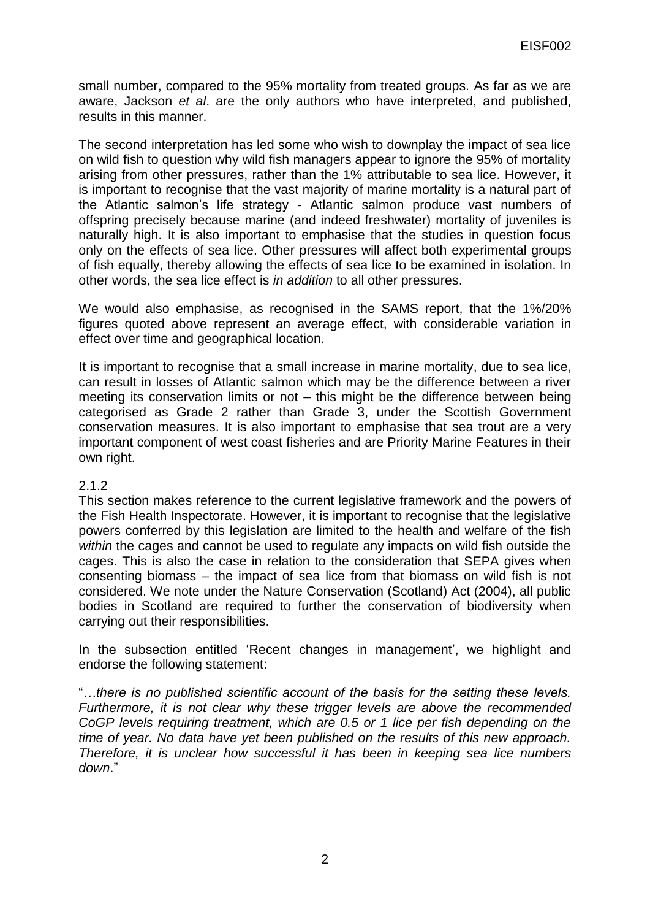small number, compared to the 95% mortality from treated groups. As far as we are aware, Jackson *et al*. are the only authors who have interpreted, and published, results in this manner.

The second interpretation has led some who wish to downplay the impact of sea lice on wild fish to question why wild fish managers appear to ignore the 95% of mortality arising from other pressures, rather than the 1% attributable to sea lice. However, it is important to recognise that the vast majority of marine mortality is a natural part of the Atlantic salmon"s life strategy - Atlantic salmon produce vast numbers of offspring precisely because marine (and indeed freshwater) mortality of juveniles is naturally high. It is also important to emphasise that the studies in question focus only on the effects of sea lice. Other pressures will affect both experimental groups of fish equally, thereby allowing the effects of sea lice to be examined in isolation. In other words, the sea lice effect is *in addition* to all other pressures.

We would also emphasise, as recognised in the SAMS report, that the 1%/20% figures quoted above represent an average effect, with considerable variation in effect over time and geographical location.

It is important to recognise that a small increase in marine mortality, due to sea lice, can result in losses of Atlantic salmon which may be the difference between a river meeting its conservation limits or not – this might be the difference between being categorised as Grade 2 rather than Grade 3, under the Scottish Government conservation measures. It is also important to emphasise that sea trout are a very important component of west coast fisheries and are Priority Marine Features in their own right.

#### 2.1.2

This section makes reference to the current legislative framework and the powers of the Fish Health Inspectorate. However, it is important to recognise that the legislative powers conferred by this legislation are limited to the health and welfare of the fish *within* the cages and cannot be used to regulate any impacts on wild fish outside the cages. This is also the case in relation to the consideration that SEPA gives when consenting biomass – the impact of sea lice from that biomass on wild fish is not considered. We note under the Nature Conservation (Scotland) Act (2004), all public bodies in Scotland are required to further the conservation of biodiversity when carrying out their responsibilities.

In the subsection entitled 'Recent changes in management', we highlight and endorse the following statement:

"*…there is no published scientific account of the basis for the setting these levels. Furthermore, it is not clear why these trigger levels are above the recommended CoGP levels requiring treatment, which are 0.5 or 1 lice per fish depending on the time of year. No data have yet been published on the results of this new approach. Therefore, it is unclear how successful it has been in keeping sea lice numbers down*."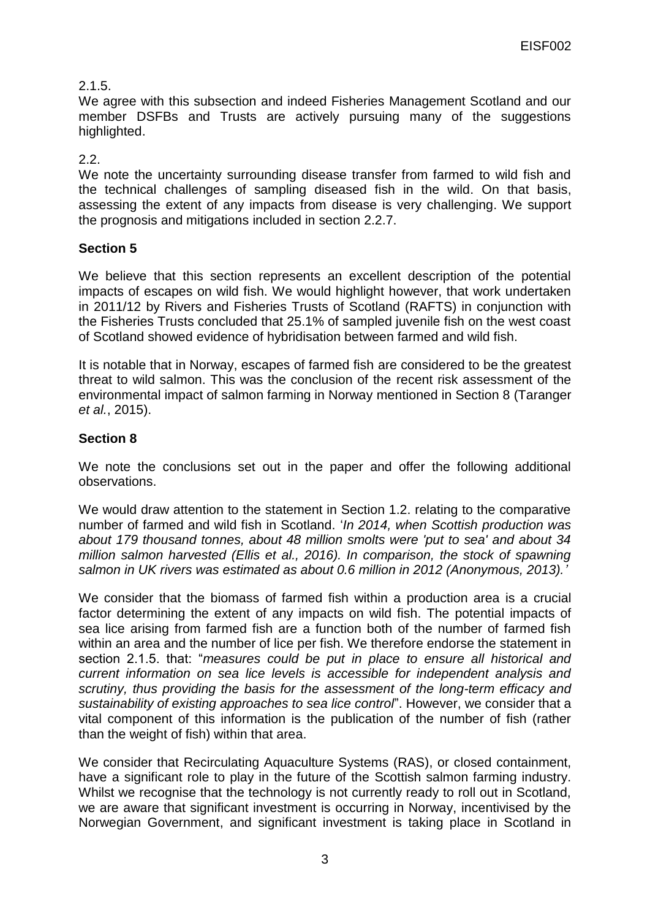# 2.1.5.

We agree with this subsection and indeed Fisheries Management Scotland and our member DSFBs and Trusts are actively pursuing many of the suggestions highlighted.

## 2.2.

We note the uncertainty surrounding disease transfer from farmed to wild fish and the technical challenges of sampling diseased fish in the wild. On that basis, assessing the extent of any impacts from disease is very challenging. We support the prognosis and mitigations included in section 2.2.7.

# **Section 5**

We believe that this section represents an excellent description of the potential impacts of escapes on wild fish. We would highlight however, that work undertaken in 2011/12 by Rivers and Fisheries Trusts of Scotland (RAFTS) in conjunction with the Fisheries Trusts concluded that 25.1% of sampled juvenile fish on the west coast of Scotland showed evidence of hybridisation between farmed and wild fish.

It is notable that in Norway, escapes of farmed fish are considered to be the greatest threat to wild salmon. This was the conclusion of the recent risk assessment of the environmental impact of salmon farming in Norway mentioned in Section 8 (Taranger *et al.*, 2015).

# **Section 8**

We note the conclusions set out in the paper and offer the following additional observations.

We would draw attention to the statement in Section 1.2. relating to the comparative number of farmed and wild fish in Scotland. "*In 2014, when Scottish production was about 179 thousand tonnes, about 48 million smolts were 'put to sea' and about 34 million salmon harvested (Ellis et al., 2016). In comparison, the stock of spawning salmon in UK rivers was estimated as about 0.6 million in 2012 (Anonymous, 2013).'*

We consider that the biomass of farmed fish within a production area is a crucial factor determining the extent of any impacts on wild fish. The potential impacts of sea lice arising from farmed fish are a function both of the number of farmed fish within an area and the number of lice per fish. We therefore endorse the statement in section 2.1.5. that: "*measures could be put in place to ensure all historical and current information on sea lice levels is accessible for independent analysis and scrutiny, thus providing the basis for the assessment of the long-term efficacy and sustainability of existing approaches to sea lice control*". However, we consider that a vital component of this information is the publication of the number of fish (rather than the weight of fish) within that area.

We consider that Recirculating Aquaculture Systems (RAS), or closed containment, have a significant role to play in the future of the Scottish salmon farming industry. Whilst we recognise that the technology is not currently ready to roll out in Scotland, we are aware that significant investment is occurring in Norway, incentivised by the Norwegian Government, and significant investment is taking place in Scotland in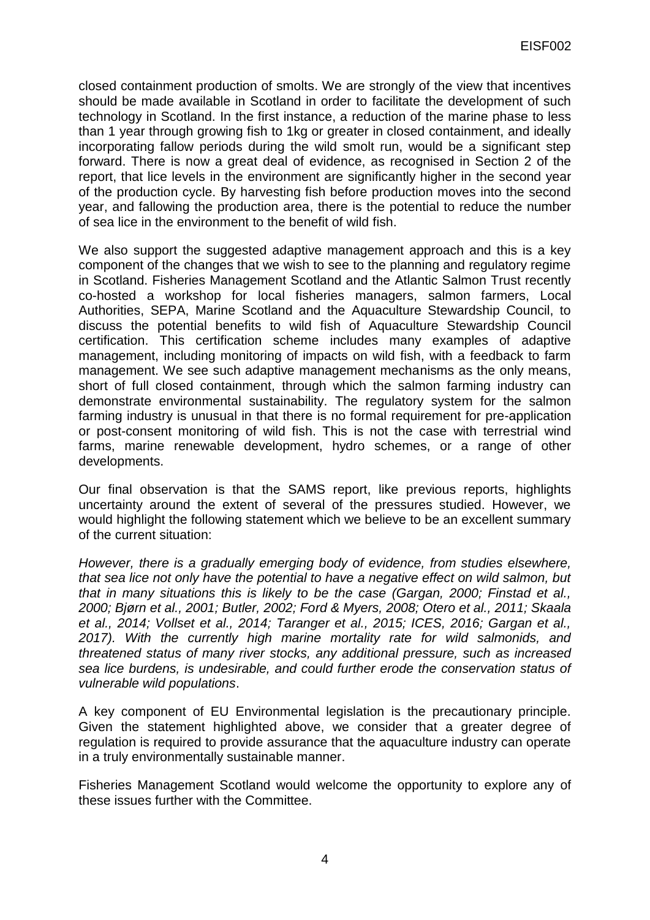closed containment production of smolts. We are strongly of the view that incentives should be made available in Scotland in order to facilitate the development of such technology in Scotland. In the first instance, a reduction of the marine phase to less than 1 year through growing fish to 1kg or greater in closed containment, and ideally incorporating fallow periods during the wild smolt run, would be a significant step forward. There is now a great deal of evidence, as recognised in Section 2 of the report, that lice levels in the environment are significantly higher in the second year of the production cycle. By harvesting fish before production moves into the second year, and fallowing the production area, there is the potential to reduce the number of sea lice in the environment to the benefit of wild fish.

We also support the suggested adaptive management approach and this is a key component of the changes that we wish to see to the planning and regulatory regime in Scotland. Fisheries Management Scotland and the Atlantic Salmon Trust recently co-hosted a workshop for local fisheries managers, salmon farmers, Local Authorities, SEPA, Marine Scotland and the Aquaculture Stewardship Council, to discuss the potential benefits to wild fish of Aquaculture Stewardship Council certification. This certification scheme includes many examples of adaptive management, including monitoring of impacts on wild fish, with a feedback to farm management. We see such adaptive management mechanisms as the only means, short of full closed containment, through which the salmon farming industry can demonstrate environmental sustainability. The regulatory system for the salmon farming industry is unusual in that there is no formal requirement for pre-application or post-consent monitoring of wild fish. This is not the case with terrestrial wind farms, marine renewable development, hydro schemes, or a range of other developments.

Our final observation is that the SAMS report, like previous reports, highlights uncertainty around the extent of several of the pressures studied. However, we would highlight the following statement which we believe to be an excellent summary of the current situation:

*However, there is a gradually emerging body of evidence, from studies elsewhere, that sea lice not only have the potential to have a negative effect on wild salmon, but that in many situations this is likely to be the case (Gargan, 2000; Finstad et al., 2000; Bjørn et al., 2001; Butler, 2002; Ford & Myers, 2008; Otero et al., 2011; Skaala et al., 2014; Vollset et al., 2014; Taranger et al., 2015; ICES, 2016; Gargan et al., 2017). With the currently high marine mortality rate for wild salmonids, and threatened status of many river stocks, any additional pressure, such as increased sea lice burdens, is undesirable, and could further erode the conservation status of vulnerable wild populations*.

A key component of EU Environmental legislation is the precautionary principle. Given the statement highlighted above, we consider that a greater degree of regulation is required to provide assurance that the aquaculture industry can operate in a truly environmentally sustainable manner.

Fisheries Management Scotland would welcome the opportunity to explore any of these issues further with the Committee.